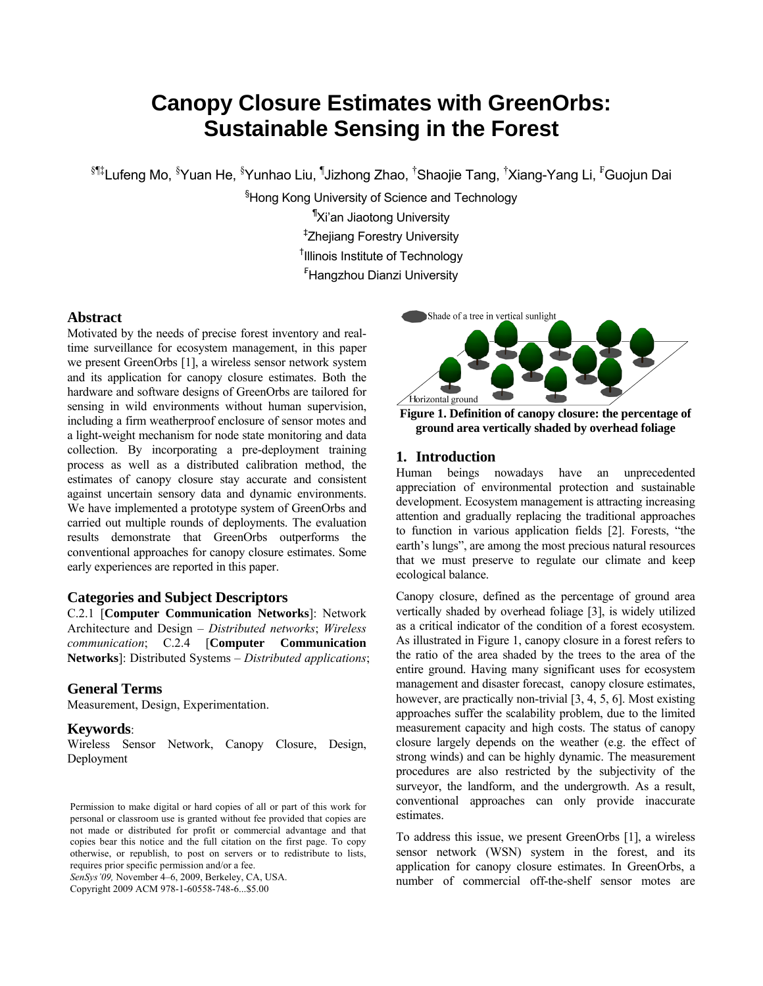# **Canopy Closure Estimates with GreenOrbs: Sustainable Sensing in the Forest**

 ${}^{\S \Rly}$ Lufeng Mo,  ${}^{\S }$ Yuan He,  ${}^{\S }$ Yunhao Liu, <sup>¶</sup>Jizhong Zhao, <sup>†</sup>Shaojie Tang, <sup>†</sup>Xiang-Yang Li, <sup>F</sup>Guojun Dai

§ Hong Kong University of Science and Technology ¶ Xi'an Jiaotong University ‡ Zhejiang Forestry University † Illinois Institute of Technology

₣ Hangzhou Dianzi University

## **Abstract**

Motivated by the needs of precise forest inventory and realtime surveillance for ecosystem management, in this paper we present GreenOrbs [1], a wireless sensor network system and its application for canopy closure estimates. Both the hardware and software designs of GreenOrbs are tailored for sensing in wild environments without human supervision, including a firm weatherproof enclosure of sensor motes and a light-weight mechanism for node state monitoring and data collection. By incorporating a pre-deployment training process as well as a distributed calibration method, the estimates of canopy closure stay accurate and consistent against uncertain sensory data and dynamic environments. We have implemented a prototype system of GreenOrbs and carried out multiple rounds of deployments. The evaluation results demonstrate that GreenOrbs outperforms the conventional approaches for canopy closure estimates. Some early experiences are reported in this paper.

## **Categories and Subject Descriptors**

C.2.1 [**Computer Communication Networks**]: Network Architecture and Design – *Distributed networks*; *Wireless communication*; C.2.4 [**Computer Communication Networks**]: Distributed Systems – *Distributed applications*;

## **General Terms**

Measurement, Design, Experimentation.

## **Keywords**:

Wireless Sensor Network, Canopy Closure, Design, Deployment

*SenSys'09,* November 4–6, 2009, Berkeley, CA, USA.

Copyright 2009 ACM 978-1-60558-748-6...\$5.00



**Figure 1. Definition of canopy closure: the percentage of ground area vertically shaded by overhead foliage** 

## **1. Introduction**

Human beings nowadays have an unprecedented appreciation of environmental protection and sustainable development. Ecosystem management is attracting increasing attention and gradually replacing the traditional approaches to function in various application fields [2]. Forests, "the earth's lungs", are among the most precious natural resources that we must preserve to regulate our climate and keep ecological balance.

Canopy closure, defined as the percentage of ground area vertically shaded by overhead foliage [3], is widely utilized as a critical indicator of the condition of a forest ecosystem. As illustrated in Figure 1, canopy closure in a forest refers to the ratio of the area shaded by the trees to the area of the entire ground. Having many significant uses for ecosystem management and disaster forecast, canopy closure estimates, however, are practically non-trivial [3, 4, 5, 6]. Most existing approaches suffer the scalability problem, due to the limited measurement capacity and high costs. The status of canopy closure largely depends on the weather (e.g. the effect of strong winds) and can be highly dynamic. The measurement procedures are also restricted by the subjectivity of the surveyor, the landform, and the undergrowth. As a result, conventional approaches can only provide inaccurate estimates.

To address this issue, we present GreenOrbs [1], a wireless sensor network (WSN) system in the forest, and its application for canopy closure estimates. In GreenOrbs, a number of commercial off-the-shelf sensor motes are

Permission to make digital or hard copies of all or part of this work for personal or classroom use is granted without fee provided that copies are not made or distributed for profit or commercial advantage and that copies bear this notice and the full citation on the first page. To copy otherwise, or republish, to post on servers or to redistribute to lists, requires prior specific permission and/or a fee.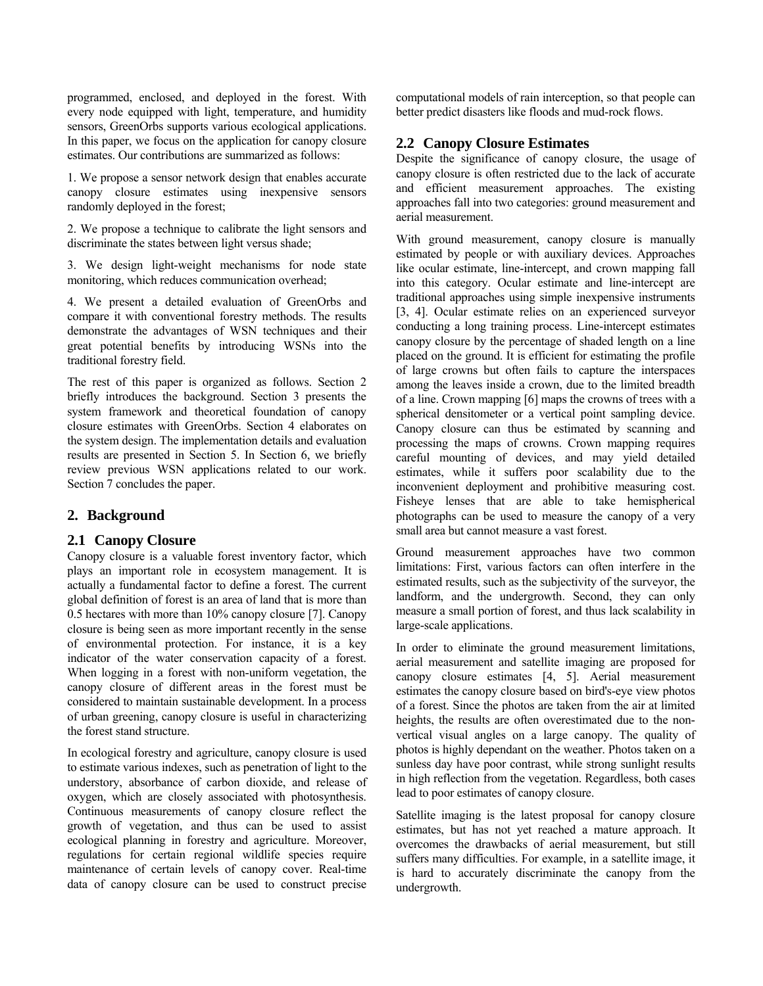programmed, enclosed, and deployed in the forest. With every node equipped with light, temperature, and humidity sensors, GreenOrbs supports various ecological applications. In this paper, we focus on the application for canopy closure estimates. Our contributions are summarized as follows:

1. We propose a sensor network design that enables accurate canopy closure estimates using inexpensive sensors randomly deployed in the forest;

2. We propose a technique to calibrate the light sensors and discriminate the states between light versus shade;

3. We design light-weight mechanisms for node state monitoring, which reduces communication overhead;

4. We present a detailed evaluation of GreenOrbs and compare it with conventional forestry methods. The results demonstrate the advantages of WSN techniques and their great potential benefits by introducing WSNs into the traditional forestry field.

The rest of this paper is organized as follows. Section 2 briefly introduces the background. Section 3 presents the system framework and theoretical foundation of canopy closure estimates with GreenOrbs. Section 4 elaborates on the system design. The implementation details and evaluation results are presented in Section 5. In Section 6, we briefly review previous WSN applications related to our work. Section 7 concludes the paper.

# **2. Background**

# **2.1 Canopy Closure**

Canopy closure is a valuable forest inventory factor, which plays an important role in ecosystem management. It is actually a fundamental factor to define a forest. The current global definition of forest is an area of land that is more than 0.5 hectares with more than 10% canopy closure [7]. Canopy closure is being seen as more important recently in the sense of environmental protection. For instance, it is a key indicator of the water conservation capacity of a forest. When logging in a forest with non-uniform vegetation, the canopy closure of different areas in the forest must be considered to maintain sustainable development. In a process of urban greening, canopy closure is useful in characterizing the forest stand structure.

In ecological forestry and agriculture, canopy closure is used to estimate various indexes, such as penetration of light to the understory, absorbance of carbon dioxide, and release of oxygen, which are closely associated with photosynthesis. Continuous measurements of canopy closure reflect the growth of vegetation, and thus can be used to assist ecological planning in forestry and agriculture. Moreover, regulations for certain regional wildlife species require maintenance of certain levels of canopy cover. Real-time data of canopy closure can be used to construct precise

computational models of rain interception, so that people can better predict disasters like floods and mud-rock flows.

# **2.2 Canopy Closure Estimates**

Despite the significance of canopy closure, the usage of canopy closure is often restricted due to the lack of accurate and efficient measurement approaches. The existing approaches fall into two categories: ground measurement and aerial measurement.

With ground measurement, canopy closure is manually estimated by people or with auxiliary devices. Approaches like ocular estimate, line-intercept, and crown mapping fall into this category. Ocular estimate and line-intercept are traditional approaches using simple inexpensive instruments [3, 4]. Ocular estimate relies on an experienced surveyor conducting a long training process. Line-intercept estimates canopy closure by the percentage of shaded length on a line placed on the ground. It is efficient for estimating the profile of large crowns but often fails to capture the interspaces among the leaves inside a crown, due to the limited breadth of a line. Crown mapping [6] maps the crowns of trees with a spherical densitometer or a vertical point sampling device. Canopy closure can thus be estimated by scanning and processing the maps of crowns. Crown mapping requires careful mounting of devices, and may yield detailed estimates, while it suffers poor scalability due to the inconvenient deployment and prohibitive measuring cost. Fisheye lenses that are able to take hemispherical photographs can be used to measure the canopy of a very small area but cannot measure a vast forest.

Ground measurement approaches have two common limitations: First, various factors can often interfere in the estimated results, such as the subjectivity of the surveyor, the landform, and the undergrowth. Second, they can only measure a small portion of forest, and thus lack scalability in large-scale applications.

In order to eliminate the ground measurement limitations, aerial measurement and satellite imaging are proposed for canopy closure estimates [4, 5]. Aerial measurement estimates the canopy closure based on bird's-eye view photos of a forest. Since the photos are taken from the air at limited heights, the results are often overestimated due to the nonvertical visual angles on a large canopy. The quality of photos is highly dependant on the weather. Photos taken on a sunless day have poor contrast, while strong sunlight results in high reflection from the vegetation. Regardless, both cases lead to poor estimates of canopy closure.

Satellite imaging is the latest proposal for canopy closure estimates, but has not yet reached a mature approach. It overcomes the drawbacks of aerial measurement, but still suffers many difficulties. For example, in a satellite image, it is hard to accurately discriminate the canopy from the undergrowth.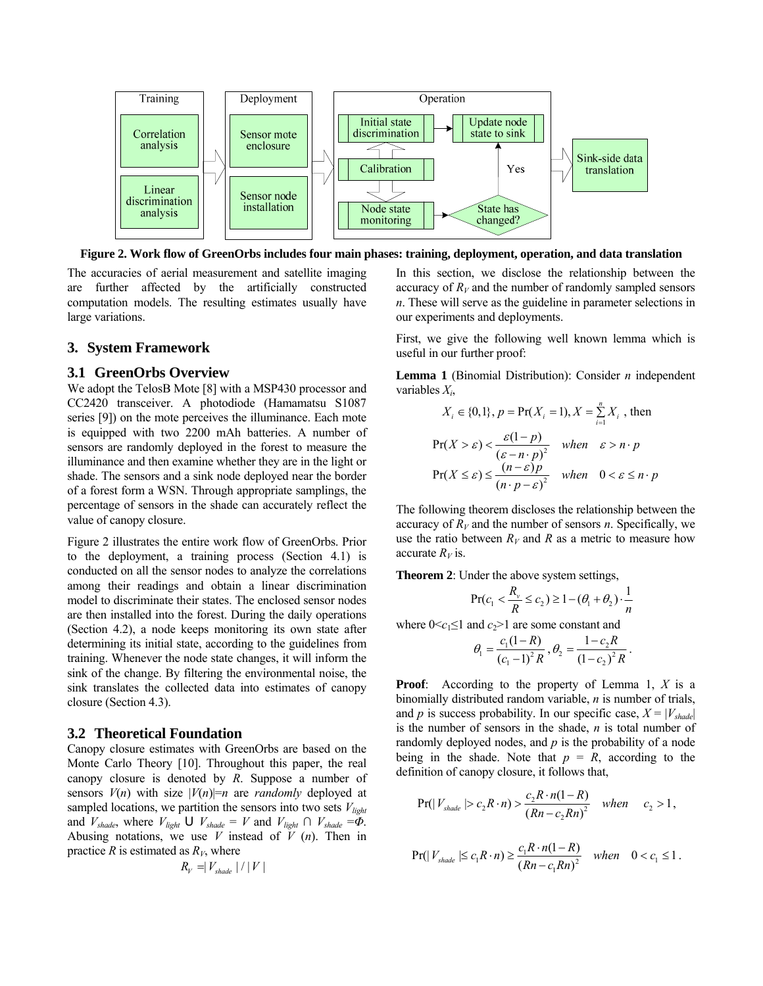

**Figure 2. Work flow of GreenOrbs includes four main phases: training, deployment, operation, and data translation**

The accuracies of aerial measurement and satellite imaging are further affected by the artificially constructed computation models. The resulting estimates usually have large variations.

# **3. System Framework**

#### **3.1 GreenOrbs Overview**

We adopt the TelosB Mote [8] with a MSP430 processor and CC2420 transceiver. A photodiode (Hamamatsu S1087 series [9]) on the mote perceives the illuminance. Each mote is equipped with two 2200 mAh batteries. A number of sensors are randomly deployed in the forest to measure the illuminance and then examine whether they are in the light or shade. The sensors and a sink node deployed near the border of a forest form a WSN. Through appropriate samplings, the percentage of sensors in the shade can accurately reflect the value of canopy closure.

Figure 2 illustrates the entire work flow of GreenOrbs. Prior to the deployment, a training process (Section 4.1) is conducted on all the sensor nodes to analyze the correlations among their readings and obtain a linear discrimination model to discriminate their states. The enclosed sensor nodes are then installed into the forest. During the daily operations (Section 4.2), a node keeps monitoring its own state after determining its initial state, according to the guidelines from training. Whenever the node state changes, it will inform the sink of the change. By filtering the environmental noise, the sink translates the collected data into estimates of canopy closure (Section 4.3).

#### **3.2 Theoretical Foundation**

Canopy closure estimates with GreenOrbs are based on the Monte Carlo Theory [10]. Throughout this paper, the real canopy closure is denoted by *R*. Suppose a number of sensors  $V(n)$  with size  $|V(n)|=n$  are *randomly* deployed at sampled locations, we partition the sensors into two sets  $V_{light}$ and  $V_{\text{shade}}$ , where  $V_{\text{light}} \cup V_{\text{shade}} = V$  and  $V_{\text{light}} \cap V_{\text{shade}} = \Phi$ . Abusing notations, we use *V* instead of *V* (*n*). Then in practice *R* is estimated as  $R<sub>V</sub>$ , where

$$
R_{V} = V_{\text{shade}} \mid / \mid V \mid
$$

In this section, we disclose the relationship between the accuracy of  $R_V$  and the number of randomly sampled sensors *n*. These will serve as the guideline in parameter selections in our experiments and deployments.

First, we give the following well known lemma which is useful in our further proof:

**Lemma 1** (Binomial Distribution): Consider *n* independent variables *Xi*,

$$
X_i \in \{0, 1\}, p = \Pr(X_i = 1), X = \sum_{i=1}^{n} X_i
$$
, then  
 
$$
\Pr(X > \varepsilon) < \frac{\varepsilon(1 - p)}{(\varepsilon - n \cdot p)^2}
$$
 when  $\varepsilon > n \cdot p$   
 
$$
\Pr(X \le \varepsilon) \le \frac{(n - \varepsilon)p}{(n \cdot p - \varepsilon)^2}
$$
 when  $0 < \varepsilon \le n \cdot p$ 

The following theorem discloses the relationship between the accuracy of  $R_V$  and the number of sensors *n*. Specifically, we use the ratio between  $R_V$  and R as a metric to measure how accurate  $R_V$  is.

**Theorem 2**: Under the above system settings,

$$
\Pr(c_1 < \frac{R_v}{R} \le c_2) \ge 1 - (\theta_1 + \theta_2) \cdot \frac{1}{n}
$$

where  $0 \leq c_1 \leq 1$  and  $c_2 > 1$  are some constant and

$$
\theta_1 = \frac{c_1(1-R)}{(c_1-1)^2 R}, \theta_2 = \frac{1-c_2R}{(1-c_2)^2 R}.
$$

**Proof**: According to the property of Lemma 1, *X* is a binomially distributed random variable, *n* is number of trials, and *p* is success probability. In our specific case,  $X = |V_{shade}|$ is the number of sensors in the shade, *n* is total number of randomly deployed nodes, and *p* is the probability of a node being in the shade. Note that  $p = R$ , according to the definition of canopy closure, it follows that,

$$
Pr(|V_{\text{shade}}| > c_2 R \cdot n) > \frac{c_2 R \cdot n(1 - R)}{(Rn - c_2 Rn)^2} \quad when \quad c_2 > 1,
$$

$$
\Pr(|V_{\text{shade}}| \leq c_1 R \cdot n) \geq \frac{c_1 R \cdot n(1 - R)}{(Rn - c_1 R n)^2} \quad when \quad 0 < c_1 \leq 1.
$$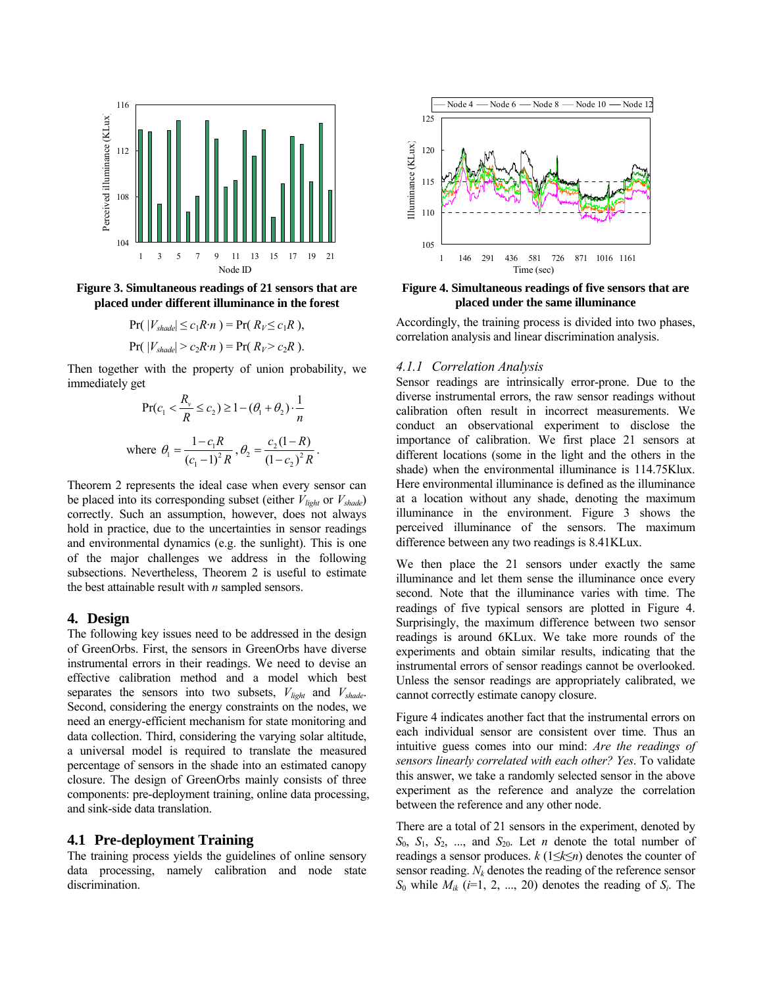

**Figure 3. Simultaneous readings of 21 sensors that are placed under different illuminance in the forest** 

$$
\Pr(|V_{\text{shade}}| \le c_1 R \cdot n) = \Pr(R_V \le c_1 R),
$$
  
 
$$
\Pr(|V_{\text{shade}}| > c_2 R \cdot n) = \Pr(R_V > c_2 R).
$$

Then together with the property of union probability, we immediately get

$$
\Pr(c_1 < \frac{R_v}{R} \le c_2) \ge 1 - (\theta_1 + \theta_2) \cdot \frac{1}{n}
$$
\nwhere  $\theta_1 = \frac{1 - c_1 R}{(c_1 - 1)^2 R}$ ,  $\theta_2 = \frac{c_2 (1 - R)}{(1 - c_2)^2 R}$ .

Theorem 2 represents the ideal case when every sensor can be placed into its corresponding subset (either  $V_{light}$  or  $V_{shade}$ ) correctly. Such an assumption, however, does not always hold in practice, due to the uncertainties in sensor readings and environmental dynamics (e.g. the sunlight). This is one of the major challenges we address in the following subsections. Nevertheless, Theorem 2 is useful to estimate the best attainable result with *n* sampled sensors.

## **4. Design**

The following key issues need to be addressed in the design of GreenOrbs. First, the sensors in GreenOrbs have diverse instrumental errors in their readings. We need to devise an effective calibration method and a model which best separates the sensors into two subsets,  $V_{\text{light}}$  and  $V_{\text{shade}}$ . Second, considering the energy constraints on the nodes, we need an energy-efficient mechanism for state monitoring and data collection. Third, considering the varying solar altitude, a universal model is required to translate the measured percentage of sensors in the shade into an estimated canopy closure. The design of GreenOrbs mainly consists of three components: pre-deployment training, online data processing, and sink-side data translation.

#### **4.1 Pre-deployment Training**

The training process yields the guidelines of online sensory data processing, namely calibration and node state discrimination.



**Figure 4. Simultaneous readings of five sensors that are placed under the same illuminance** 

Accordingly, the training process is divided into two phases, correlation analysis and linear discrimination analysis.

#### *4.1.1 Correlation Analysis*

Sensor readings are intrinsically error-prone. Due to the diverse instrumental errors, the raw sensor readings without calibration often result in incorrect measurements. We conduct an observational experiment to disclose the importance of calibration. We first place 21 sensors at different locations (some in the light and the others in the shade) when the environmental illuminance is 114.75Klux. Here environmental illuminance is defined as the illuminance at a location without any shade, denoting the maximum illuminance in the environment. Figure 3 shows the perceived illuminance of the sensors. The maximum difference between any two readings is 8.41KLux.

We then place the 21 sensors under exactly the same illuminance and let them sense the illuminance once every second. Note that the illuminance varies with time. The readings of five typical sensors are plotted in Figure 4. Surprisingly, the maximum difference between two sensor readings is around 6KLux. We take more rounds of the experiments and obtain similar results, indicating that the instrumental errors of sensor readings cannot be overlooked. Unless the sensor readings are appropriately calibrated, we cannot correctly estimate canopy closure.

Figure 4 indicates another fact that the instrumental errors on each individual sensor are consistent over time. Thus an intuitive guess comes into our mind: *Are the readings of sensors linearly correlated with each other? Yes*. To validate this answer, we take a randomly selected sensor in the above experiment as the reference and analyze the correlation between the reference and any other node.

There are a total of 21 sensors in the experiment, denoted by *S*0, *S*1, *S*2, ..., and *S*20. Let *n* denote the total number of readings a sensor produces. *k* (1≤*k*≤*n*) denotes the counter of sensor reading.  $N_k$  denotes the reading of the reference sensor  $S_0$  while  $M_{ik}$  ( $i=1, 2, ..., 20$ ) denotes the reading of  $S_i$ . The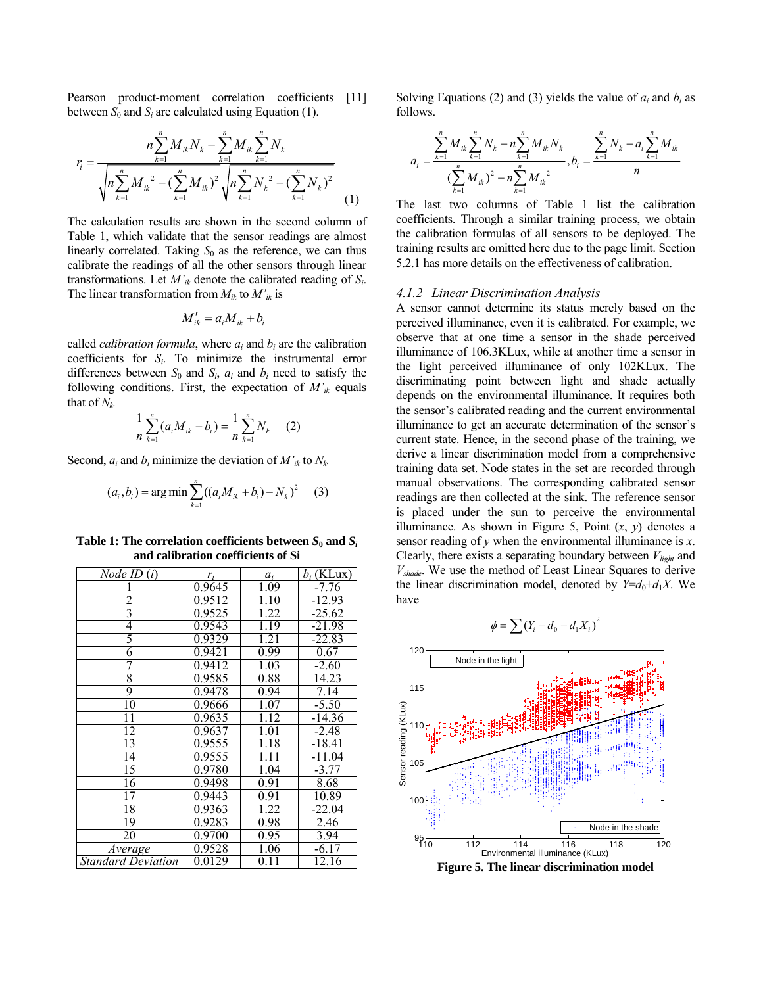Pearson product-moment correlation coefficients [11] between  $S_0$  and  $S_i$  are calculated using Equation (1).

$$
r_{i} = \frac{n \sum_{k=1}^{n} M_{ik} N_{k} - \sum_{k=1}^{n} M_{ik} \sum_{k=1}^{n} N_{k}}{\sqrt{n \sum_{k=1}^{n} M_{ik}^{2} - (\sum_{k=1}^{n} M_{ik})^{2}} \sqrt{n \sum_{k=1}^{n} N_{k}^{2} - (\sum_{k=1}^{n} N_{k})^{2}}}
$$
(1)

The calculation results are shown in the second column of Table 1, which validate that the sensor readings are almost linearly correlated. Taking  $S_0$  as the reference, we can thus calibrate the readings of all the other sensors through linear transformations. Let  $M'_{ik}$  denote the calibrated reading of  $S_i$ . The linear transformation from  $M_{ik}$  to  $M'_{ik}$  is

$$
M'_{ik} = a_i M_{ik} + b_i
$$

called *calibration formula*, where  $a_i$  and  $b_i$  are the calibration coefficients for *Si*. To minimize the instrumental error differences between  $S_0$  and  $S_i$ ,  $a_i$  and  $b_i$  need to satisfy the following conditions. First, the expectation of  $M'_{ik}$  equals that of  $N_k$ .

$$
\frac{1}{n}\sum_{k=1}^{n}(a_{i}M_{ik}+b_{i})=\frac{1}{n}\sum_{k=1}^{n}N_{k}
$$
 (2)

Second,  $a_i$  and  $b_i$  minimize the deviation of  $M'_{ik}$  to  $N_k$ .

$$
(a_i, b_i) = \arg\min \sum_{k=1}^{n} ((a_i M_{ik} + b_i) - N_k)^2
$$
 (3)

**Table 1: The correlation coefficients between**  $S_0$  **and**  $S_i$ **and calibration coefficients of Si** 

| Node ID(i)         | $r_i$  | $a_i$             | $b_i$ (KLux)       |
|--------------------|--------|-------------------|--------------------|
|                    | 0.9645 | 1.09              | $-7.76$            |
| 2                  | 0.9512 | 1.10              | $-12.93$           |
| $\frac{3}{4}$      | 0.9525 | 1.22              | $-25.62$           |
|                    | 0.9543 | 1.19              | $-21.98$           |
| 5                  | 0.9329 | 1.21              | $-22.83$           |
| 6                  | 0.9421 | 0.99              | 0.67               |
| 7                  | 0.9412 | 1.03              | $-2.60$            |
| 8                  | 0.9585 | 0.88              | $14.\overline{23}$ |
| 9                  | 0.9478 | 0.94              | 7.14               |
| $\overline{10}$    | 0.9666 | 1.07              | $-5.50$            |
| $\overline{11}$    | 0.9635 | 1.12              | $-14.36$           |
| $\overline{12}$    | 0.9637 | $1.\overline{01}$ | $-2.48$            |
| 13                 | 0.9555 | 1.18              | $-18.41$           |
| 14                 | 0.9555 | $1.\overline{11}$ | $-11.04$           |
| 15                 | 0.9780 | 1.04              | $-3.77$            |
| 16                 | 0.9498 | 0.91              | 8.68               |
| 17                 | 0.9443 | 0.91              | 10.89              |
| 18                 | 0.9363 | 1.22              | $-22.04$           |
| 19                 | 0.9283 | 0.98              | 2.46               |
| 20                 | 0.9700 | 0.95              | 3.94               |
| Average            | 0.9528 | 1.06              | $-6.17$            |
| Standard Deviation | 0.0129 | 0.11              | 12.16              |

Solving Equations (2) and (3) yields the value of  $a_i$  and  $b_i$  as follows.

$$
a_{i} = \frac{\sum_{k=1}^{n} M_{ik} \sum_{k=1}^{n} N_{k} - n \sum_{k=1}^{n} M_{ik} N_{k}}{\left(\sum_{k=1}^{n} M_{ik}\right)^{2} - n \sum_{k=1}^{n} M_{ik}^{2}}, b_{i} = \frac{\sum_{k=1}^{n} N_{k} - a_{i} \sum_{k=1}^{n} M_{ik}}{n}
$$

The last two columns of Table 1 list the calibration coefficients. Through a similar training process, we obtain the calibration formulas of all sensors to be deployed. The training results are omitted here due to the page limit. Section 5.2.1 has more details on the effectiveness of calibration.

#### *4.1.2 Linear Discrimination Analysis*

A sensor cannot determine its status merely based on the perceived illuminance, even it is calibrated. For example, we observe that at one time a sensor in the shade perceived illuminance of 106.3KLux, while at another time a sensor in the light perceived illuminance of only 102KLux. The discriminating point between light and shade actually depends on the environmental illuminance. It requires both the sensor's calibrated reading and the current environmental illuminance to get an accurate determination of the sensor's current state. Hence, in the second phase of the training, we derive a linear discrimination model from a comprehensive training data set. Node states in the set are recorded through manual observations. The corresponding calibrated sensor readings are then collected at the sink. The reference sensor is placed under the sun to perceive the environmental illuminance. As shown in Figure 5, Point (*x*, *y*) denotes a sensor reading of *y* when the environmental illuminance is *x*. Clearly, there exists a separating boundary between  $V_{light}$  and *Vshade*. We use the method of Least Linear Squares to derive the linear discrimination model, denoted by  $Y=d_0+d_1X$ . We have

$$
\phi = \sum (Y_i - d_0 - d_1 X_i)^2
$$



**Figure 5. The linear discrimination model**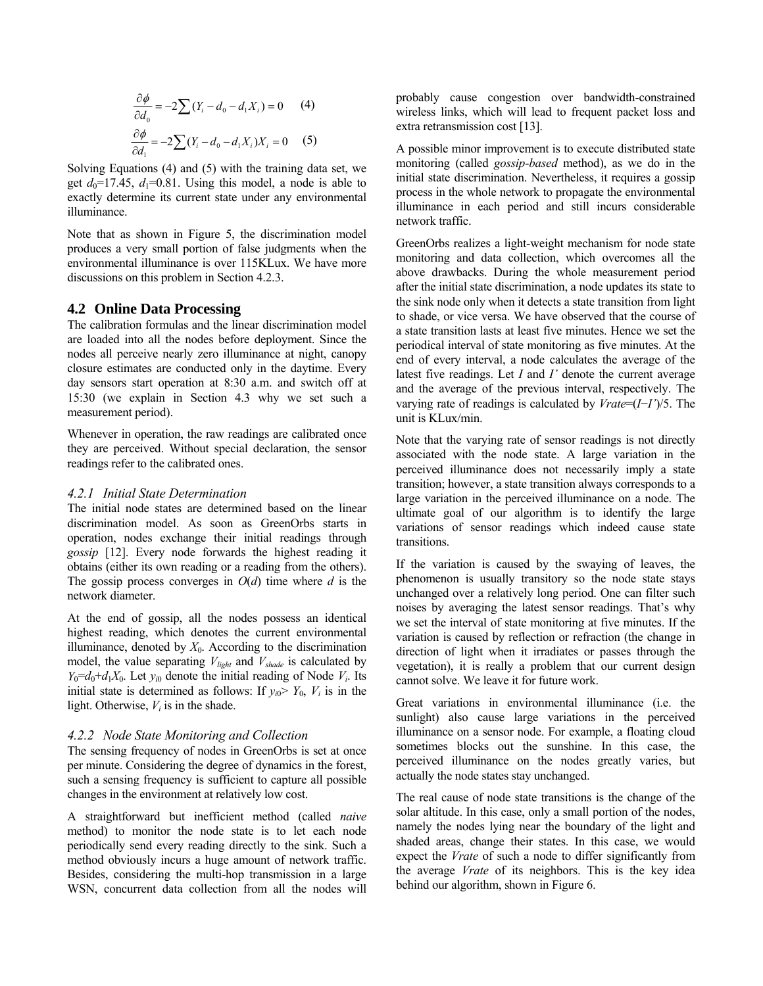$$
\frac{\partial \phi}{\partial d_0} = -2\sum (Y_i - d_0 - d_1 X_i) = 0 \quad (4)
$$

$$
\frac{\partial \phi}{\partial d_1} = -2\sum (Y_i - d_0 - d_1 X_i) X_i = 0 \quad (5)
$$

Solving Equations (4) and (5) with the training data set, we get  $d_0$ =17.45,  $d_1$ =0.81. Using this model, a node is able to exactly determine its current state under any environmental illuminance.

Note that as shown in Figure 5, the discrimination model produces a very small portion of false judgments when the environmental illuminance is over 115KLux. We have more discussions on this problem in Section 4.2.3.

#### **4.2 Online Data Processing**

The calibration formulas and the linear discrimination model are loaded into all the nodes before deployment. Since the nodes all perceive nearly zero illuminance at night, canopy closure estimates are conducted only in the daytime. Every day sensors start operation at 8:30 a.m. and switch off at 15:30 (we explain in Section 4.3 why we set such a measurement period).

Whenever in operation, the raw readings are calibrated once they are perceived. Without special declaration, the sensor readings refer to the calibrated ones.

#### *4.2.1 Initial State Determination*

The initial node states are determined based on the linear discrimination model. As soon as GreenOrbs starts in operation, nodes exchange their initial readings through *gossip* [12]. Every node forwards the highest reading it obtains (either its own reading or a reading from the others). The gossip process converges in  $O(d)$  time where *d* is the network diameter.

At the end of gossip, all the nodes possess an identical highest reading, which denotes the current environmental illuminance, denoted by  $X_0$ . According to the discrimination model, the value separating  $V_{light}$  and  $V_{shade}$  is calculated by  $Y_0=d_0+d_1X_0$ . Let  $y_{i0}$  denote the initial reading of Node  $V_i$ . Its initial state is determined as follows: If  $y_{i0}$   $\ge$   $Y_0$ ,  $V_i$  is in the light. Otherwise,  $V_i$  is in the shade.

#### *4.2.2 Node State Monitoring and Collection*

The sensing frequency of nodes in GreenOrbs is set at once per minute. Considering the degree of dynamics in the forest, such a sensing frequency is sufficient to capture all possible changes in the environment at relatively low cost.

A straightforward but inefficient method (called *naive* method) to monitor the node state is to let each node periodically send every reading directly to the sink. Such a method obviously incurs a huge amount of network traffic. Besides, considering the multi-hop transmission in a large WSN, concurrent data collection from all the nodes will

probably cause congestion over bandwidth-constrained wireless links, which will lead to frequent packet loss and extra retransmission cost [13].

A possible minor improvement is to execute distributed state monitoring (called *gossip-based* method), as we do in the initial state discrimination. Nevertheless, it requires a gossip process in the whole network to propagate the environmental illuminance in each period and still incurs considerable network traffic.

GreenOrbs realizes a light-weight mechanism for node state monitoring and data collection, which overcomes all the above drawbacks. During the whole measurement period after the initial state discrimination, a node updates its state to the sink node only when it detects a state transition from light to shade, or vice versa. We have observed that the course of a state transition lasts at least five minutes. Hence we set the periodical interval of state monitoring as five minutes. At the end of every interval, a node calculates the average of the latest five readings. Let *I* and *I'* denote the current average and the average of the previous interval, respectively. The varying rate of readings is calculated by *Vrate*=(*I*−*I'*)/5. The unit is KLux/min.

Note that the varying rate of sensor readings is not directly associated with the node state. A large variation in the perceived illuminance does not necessarily imply a state transition; however, a state transition always corresponds to a large variation in the perceived illuminance on a node. The ultimate goal of our algorithm is to identify the large variations of sensor readings which indeed cause state transitions.

If the variation is caused by the swaying of leaves, the phenomenon is usually transitory so the node state stays unchanged over a relatively long period. One can filter such noises by averaging the latest sensor readings. That's why we set the interval of state monitoring at five minutes. If the variation is caused by reflection or refraction (the change in direction of light when it irradiates or passes through the vegetation), it is really a problem that our current design cannot solve. We leave it for future work.

Great variations in environmental illuminance (i.e. the sunlight) also cause large variations in the perceived illuminance on a sensor node. For example, a floating cloud sometimes blocks out the sunshine. In this case, the perceived illuminance on the nodes greatly varies, but actually the node states stay unchanged.

The real cause of node state transitions is the change of the solar altitude. In this case, only a small portion of the nodes, namely the nodes lying near the boundary of the light and shaded areas, change their states. In this case, we would expect the *Vrate* of such a node to differ significantly from the average *Vrate* of its neighbors. This is the key idea behind our algorithm, shown in Figure 6.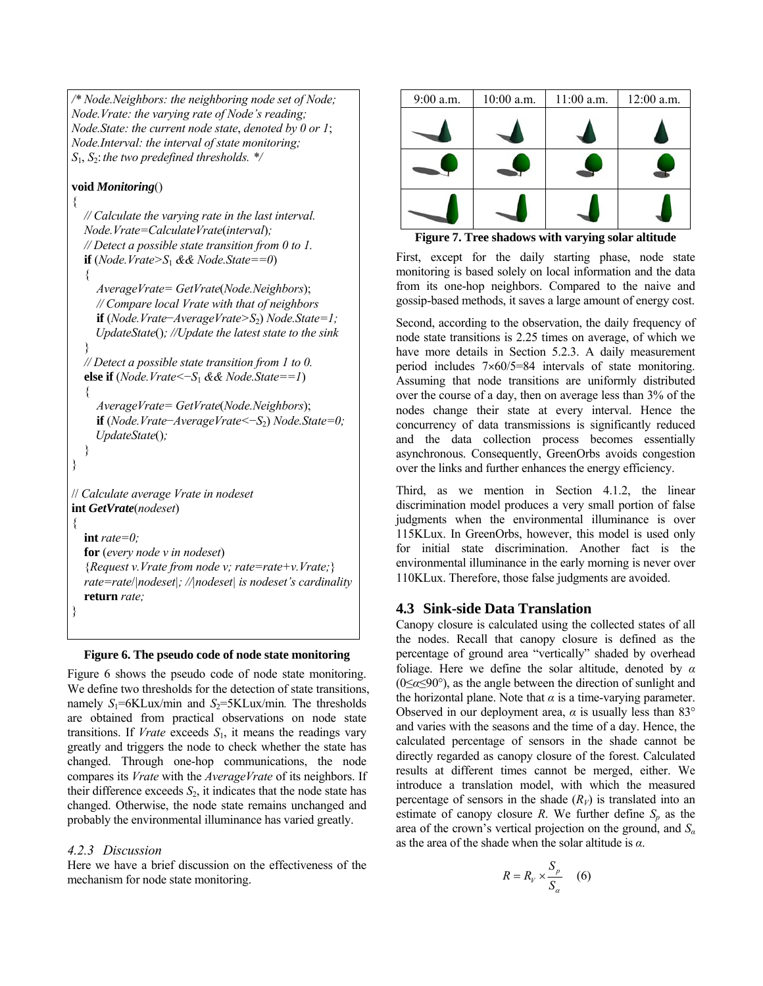```
/* Node.Neighbors: the neighboring node set of Node; 
Node.Vrate: the varying rate of Node's reading; 
Node.State: the current node state, denoted by 0 or 1; 
Node.Interval: the interval of state monitoring; 
S1, S2:the two predefined thresholds. */
```
## **void** *Monitoring*()

{

}

}

```
// Calculate the varying rate in the last interval. 
  Node.Vrate=CalculateVrate(interval); 
  // Detect a possible state transition from 0 to 1. 
  if (Node.Vrate>S<sub>1</sub> && Node.State==0)
  { 
     AverageVrate= GetVrate(Node.Neighbors); 
     // Compare local Vrate with that of neighbors 
     if (Node.Vrate−AverageVrate>S2) Node.State=1; 
     UpdateState(); //Update the latest state to the sink 
  } 
  // Detect a possible state transition from 1 to 0. 
  else if (Node.Vrate<−S1 && Node.State==1)
  { 
     AverageVrate= GetVrate(Node.Neighbors); 
     if (Node.Vrate−AverageVrate<−S2) Node.State=0; 
     UpdateState(); 
  } 
// Calculate average Vrate in nodeset
int GetVrate(nodeset) 
{ 
  int rate=0;
  for (every node v in nodeset) 
  {Request v.Vrate from node v; rate=rate+v.Vrate;}
  rate=rate/|nodeset|; //|nodeset| is nodeset's cardinality 
  return rate;
```
## **Figure 6. The pseudo code of node state monitoring**

Figure 6 shows the pseudo code of node state monitoring. We define two thresholds for the detection of state transitions, namely  $S_1$ =6KLux/min and  $S_2$ =5KLux/min. The thresholds are obtained from practical observations on node state transitions. If *Vrate* exceeds  $S_1$ , it means the readings vary greatly and triggers the node to check whether the state has changed. Through one-hop communications, the node compares its *Vrate* with the *AverageVrate* of its neighbors. If their difference exceeds  $S_2$ , it indicates that the node state has changed. Otherwise, the node state remains unchanged and probably the environmental illuminance has varied greatly.

# *4.2.3 Discussion*

Here we have a brief discussion on the effectiveness of the mechanism for node state monitoring.

| 9:00 a.m. | $10:00$ a.m. | $11:00$ a.m. | 12:00 a.m. |
|-----------|--------------|--------------|------------|
|           |              |              |            |
|           |              |              |            |
|           |              |              |            |

**Figure 7. Tree shadows with varying solar altitude** 

First, except for the daily starting phase, node state monitoring is based solely on local information and the data from its one-hop neighbors. Compared to the naive and gossip-based methods, it saves a large amount of energy cost.

Second, according to the observation, the daily frequency of node state transitions is 2.25 times on average, of which we have more details in Section 5.2.3. A daily measurement period includes  $7\times60/5=84$  intervals of state monitoring. Assuming that node transitions are uniformly distributed over the course of a day, then on average less than 3% of the nodes change their state at every interval. Hence the concurrency of data transmissions is significantly reduced and the data collection process becomes essentially asynchronous. Consequently, GreenOrbs avoids congestion over the links and further enhances the energy efficiency.

Third, as we mention in Section 4.1.2, the linear discrimination model produces a very small portion of false judgments when the environmental illuminance is over 115KLux. In GreenOrbs, however, this model is used only for initial state discrimination. Another fact is the environmental illuminance in the early morning is never over 110KLux. Therefore, those false judgments are avoided.

# **4.3 Sink-side Data Translation**

Canopy closure is calculated using the collected states of all the nodes. Recall that canopy closure is defined as the percentage of ground area "vertically" shaded by overhead foliage. Here we define the solar altitude, denoted by *α* (0≤*α*≤90°), as the angle between the direction of sunlight and the horizontal plane. Note that  $\alpha$  is a time-varying parameter. Observed in our deployment area,  $\alpha$  is usually less than 83 $\degree$ and varies with the seasons and the time of a day. Hence, the calculated percentage of sensors in the shade cannot be directly regarded as canopy closure of the forest. Calculated results at different times cannot be merged, either. We introduce a translation model, with which the measured percentage of sensors in the shade  $(R_V)$  is translated into an estimate of canopy closure *R*. We further define  $S_p$  as the area of the crown's vertical projection on the ground, and *S<sup>α</sup>* as the area of the shade when the solar altitude is *α*.

$$
R = R_V \times \frac{S_p}{S_\alpha} \quad (6)
$$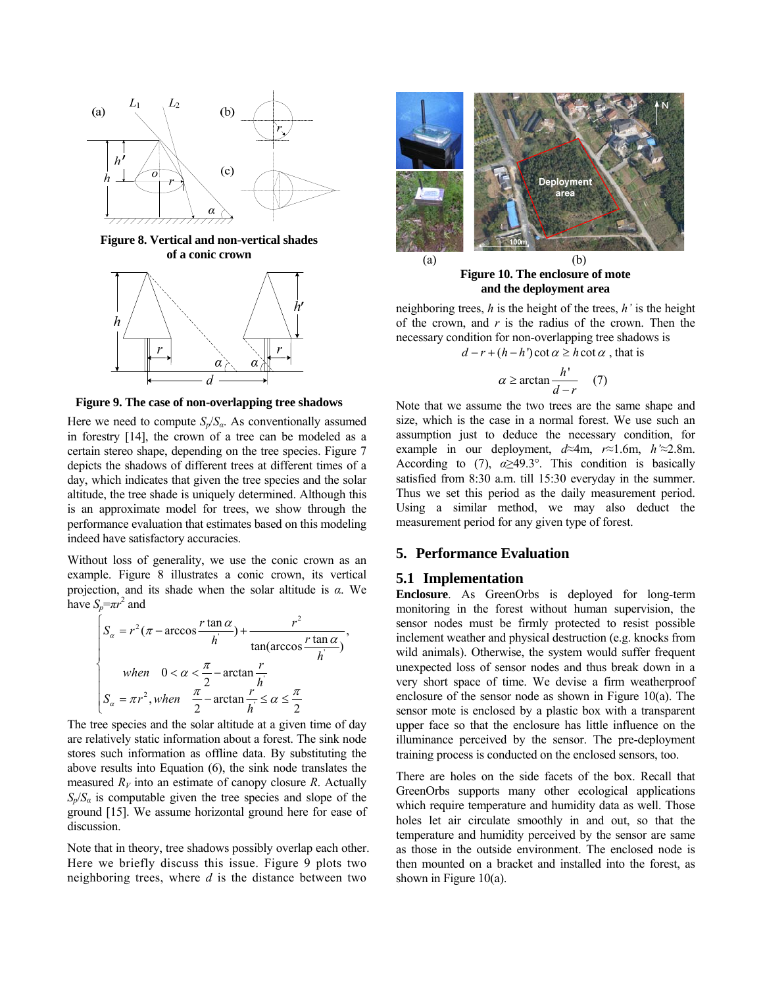

**Figure 8. Vertical and non-vertical shades of a conic crown** 



**Figure 9. The case of non-overlapping tree shadows**

Here we need to compute  $S_p/S_a$ . As conventionally assumed in forestry [14], the crown of a tree can be modeled as a certain stereo shape, depending on the tree species. Figure 7 depicts the shadows of different trees at different times of a day, which indicates that given the tree species and the solar altitude, the tree shade is uniquely determined. Although this is an approximate model for trees, we show through the performance evaluation that estimates based on this modeling indeed have satisfactory accuracies.

Without loss of generality, we use the conic crown as an example. Figure 8 illustrates a conic crown, its vertical projection, and its shade when the solar altitude is *α*. We have  $S_p = \pi r^2$  and

$$
\begin{cases}\nS_{\alpha} = r^2 (\pi - \arccos \frac{r \tan \alpha}{h}) + \frac{r^2}{\tan(\arccos \frac{r \tan \alpha}{h})}, \\
when \quad 0 < \alpha < \frac{\pi}{2} - \arctan \frac{r}{h} \\
S_{\alpha} = \pi r^2, when \quad \frac{\pi}{2} - \arctan \frac{r}{h} \le \alpha \le \frac{\pi}{2}\n\end{cases}
$$

The tree species and the solar altitude at a given time of day are relatively static information about a forest. The sink node stores such information as offline data. By substituting the above results into Equation (6), the sink node translates the measured  $R_V$  into an estimate of canopy closure *R*. Actually  $S_p/S_a$  is computable given the tree species and slope of the ground [15]. We assume horizontal ground here for ease of discussion.

Note that in theory, tree shadows possibly overlap each other. Here we briefly discuss this issue. Figure 9 plots two neighboring trees, where *d* is the distance between two



**Figure 10. The enclosure of mote and the deployment area** 

neighboring trees, *h* is the height of the trees, *h'* is the height of the crown, and *r* is the radius of the crown. Then the necessary condition for non-overlapping tree shadows is

 $d - r + (h - h') \cot \alpha \geq h \cot \alpha$ , that is

$$
\alpha \ge \arctan \frac{h'}{d-r} \quad (7)
$$

Note that we assume the two trees are the same shape and size, which is the case in a normal forest. We use such an assumption just to deduce the necessary condition, for example in our deployment, *d*≈4m, *r*≈1.6m, *h'*≈2.8m. According to (7),  $\alpha \geq 49.3^{\circ}$ . This condition is basically satisfied from 8:30 a.m. till 15:30 everyday in the summer. Thus we set this period as the daily measurement period. Using a similar method, we may also deduct the measurement period for any given type of forest.

# **5. Performance Evaluation**

## **5.1 Implementation**

**Enclosure**. As GreenOrbs is deployed for long-term monitoring in the forest without human supervision, the sensor nodes must be firmly protected to resist possible inclement weather and physical destruction (e.g. knocks from wild animals). Otherwise, the system would suffer frequent unexpected loss of sensor nodes and thus break down in a very short space of time. We devise a firm weatherproof enclosure of the sensor node as shown in Figure 10(a). The sensor mote is enclosed by a plastic box with a transparent upper face so that the enclosure has little influence on the illuminance perceived by the sensor. The pre-deployment training process is conducted on the enclosed sensors, too.

There are holes on the side facets of the box. Recall that GreenOrbs supports many other ecological applications which require temperature and humidity data as well. Those holes let air circulate smoothly in and out, so that the temperature and humidity perceived by the sensor are same as those in the outside environment. The enclosed node is then mounted on a bracket and installed into the forest, as shown in Figure 10(a).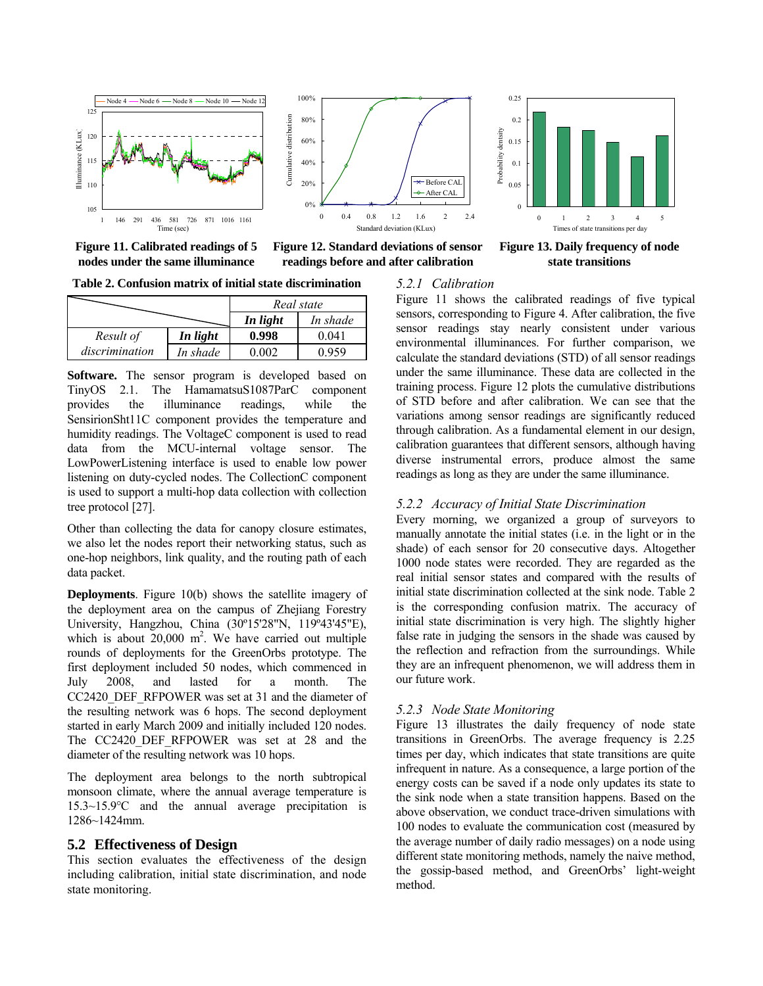

**Figure 11. Calibrated readings of 5 nodes under the same illuminance** 



**Figure 12. Standard deviations of sensor readings before and after calibration**

0 0.05 0.1 0.15 0.2 012345 Times of state transitions per day Probability dentsity

**Figure 13. Daily frequency of node state transitions** 

**Table 2. Confusion matrix of initial state discrimination** 

|                |          | Real state |          |
|----------------|----------|------------|----------|
|                |          | In light   | In shade |
| Result of      | In light | 0.998      | 0.041    |
| discrimination | In shade | 0.002      | 0.959    |

**Software.** The sensor program is developed based on TinyOS 2.1. The HamamatsuS1087ParC component provides the illuminance readings, while the SensirionSht11C component provides the temperature and humidity readings. The VoltageC component is used to read data from the MCU-internal voltage sensor. The LowPowerListening interface is used to enable low power listening on duty-cycled nodes. The CollectionC component is used to support a multi-hop data collection with collection tree protocol [27].

Other than collecting the data for canopy closure estimates, we also let the nodes report their networking status, such as one-hop neighbors, link quality, and the routing path of each data packet.

**Deployments**. Figure 10(b) shows the satellite imagery of the deployment area on the campus of Zhejiang Forestry University, Hangzhou, China (30º15'28"N, 119º43'45"E), which is about  $20,000$  m<sup>2</sup>. We have carried out multiple rounds of deployments for the GreenOrbs prototype. The first deployment included 50 nodes, which commenced in July 2008, and lasted for a month. The CC2420 DEF RFPOWER was set at 31 and the diameter of the resulting network was 6 hops. The second deployment started in early March 2009 and initially included 120 nodes. The CC2420 DEF RFPOWER was set at 28 and the diameter of the resulting network was 10 hops.

The deployment area belongs to the north subtropical monsoon climate, where the annual average temperature is  $15.3 \sim 15.9$ <sup>o</sup>C and the annual average precipitation is 1286~1424mm.

## **5.2 Effectiveness of Design**

This section evaluates the effectiveness of the design including calibration, initial state discrimination, and node state monitoring.

#### *5.2.1 Calibration*

Figure 11 shows the calibrated readings of five typical sensors, corresponding to Figure 4. After calibration, the five sensor readings stay nearly consistent under various environmental illuminances. For further comparison, we calculate the standard deviations (STD) of all sensor readings under the same illuminance. These data are collected in the training process. Figure 12 plots the cumulative distributions of STD before and after calibration. We can see that the variations among sensor readings are significantly reduced through calibration. As a fundamental element in our design, calibration guarantees that different sensors, although having diverse instrumental errors, produce almost the same readings as long as they are under the same illuminance.

## *5.2.2 Accuracy of Initial State Discrimination*

0.25

Probability dentsity

Every morning, we organized a group of surveyors to manually annotate the initial states (i.e. in the light or in the shade) of each sensor for 20 consecutive days. Altogether 1000 node states were recorded. They are regarded as the real initial sensor states and compared with the results of initial state discrimination collected at the sink node. Table 2 is the corresponding confusion matrix. The accuracy of initial state discrimination is very high. The slightly higher false rate in judging the sensors in the shade was caused by the reflection and refraction from the surroundings. While they are an infrequent phenomenon, we will address them in our future work.

#### *5.2.3 Node State Monitoring*

Figure 13 illustrates the daily frequency of node state transitions in GreenOrbs. The average frequency is 2.25 times per day, which indicates that state transitions are quite infrequent in nature. As a consequence, a large portion of the energy costs can be saved if a node only updates its state to the sink node when a state transition happens. Based on the above observation, we conduct trace-driven simulations with 100 nodes to evaluate the communication cost (measured by the average number of daily radio messages) on a node using different state monitoring methods, namely the naive method, the gossip-based method, and GreenOrbs' light-weight method.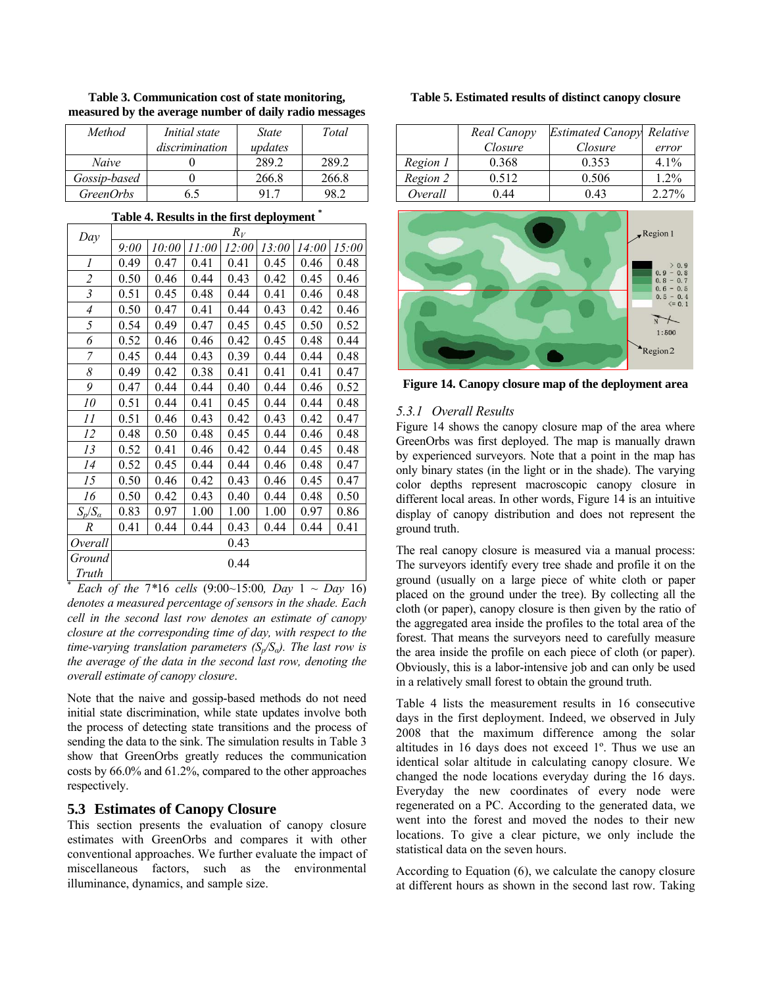| <i>Method</i>    | <i>Initial</i> state | <i>State</i> | Total |
|------------------|----------------------|--------------|-------|
|                  | discrimination       | updates      |       |
| Naive            |                      | 289.2        | 289 2 |
| Gossip-based     |                      | 266.8        | 266.8 |
| <i>GreenOrbs</i> |                      |              |       |

**Table 3. Communication cost of state monitoring, measured by the average number of daily radio messages** 

| Day                           |      |       |       | $R_V$ |       |       |       |
|-------------------------------|------|-------|-------|-------|-------|-------|-------|
|                               | 9:00 | 10:00 | 11:00 | 12:00 | 13:00 | 14:00 | 15:00 |
| 1                             | 0.49 | 0.47  | 0.41  | 0.41  | 0.45  | 0.46  | 0.48  |
| $\overline{2}$                | 0.50 | 0.46  | 0.44  | 0.43  | 0.42  | 0.45  | 0.46  |
| $\mathfrak{Z}$                | 0.51 | 0.45  | 0.48  | 0.44  | 0.41  | 0.46  | 0.48  |
| $\ensuremath{\mathnormal{4}}$ | 0.50 | 0.47  | 0.41  | 0.44  | 0.43  | 0.42  | 0.46  |
| 5                             | 0.54 | 0.49  | 0.47  | 0.45  | 0.45  | 0.50  | 0.52  |
| 6                             | 0.52 | 0.46  | 0.46  | 0.42  | 0.45  | 0.48  | 0.44  |
| 7                             | 0.45 | 0.44  | 0.43  | 0.39  | 0.44  | 0.44  | 0.48  |
| 8                             | 0.49 | 0.42  | 0.38  | 0.41  | 0.41  | 0.41  | 0.47  |
| 9                             | 0.47 | 0.44  | 0.44  | 0.40  | 0.44  | 0.46  | 0.52  |
| 10                            | 0.51 | 0.44  | 0.41  | 0.45  | 0.44  | 0.44  | 0.48  |
| 11                            | 0.51 | 0.46  | 0.43  | 0.42  | 0.43  | 0.42  | 0.47  |
| 12                            | 0.48 | 0.50  | 0.48  | 0.45  | 0.44  | 0.46  | 0.48  |
| 13                            | 0.52 | 0.41  | 0.46  | 0.42  | 0.44  | 0.45  | 0.48  |
| 14                            | 0.52 | 0.45  | 0.44  | 0.44  | 0.46  | 0.48  | 0.47  |
| 15                            | 0.50 | 0.46  | 0.42  | 0.43  | 0.46  | 0.45  | 0.47  |
| 16                            | 0.50 | 0.42  | 0.43  | 0.40  | 0.44  | 0.48  | 0.50  |
| $S_p/S_a$                     | 0.83 | 0.97  | 1.00  | 1.00  | 1.00  | 0.97  | 0.86  |
| $\boldsymbol{R}$              | 0.41 | 0.44  | 0.44  | 0.43  | 0.44  | 0.44  | 0.41  |
| Overall                       |      |       |       | 0.43  |       |       |       |
| Ground                        |      |       |       | 0.44  |       |       |       |
| Truth                         |      |       |       |       |       |       |       |

**Table 4. Results in the first deployment \***

*Each of the*  $7*16$  *cells*  $(9:00~15:00, Day 1 ~ 200$ *denotes a measured percentage of sensors in the shade. Each cell in the second last row denotes an estimate of canopy closure at the corresponding time of day, with respect to the time-varying translation parameters (S<sub>n</sub>/S<sub>α</sub>). The last row is the average of the data in the second last row, denoting the overall estimate of canopy closure*.

Note that the naive and gossip-based methods do not need initial state discrimination, while state updates involve both the process of detecting state transitions and the process of sending the data to the sink. The simulation results in Table 3 show that GreenOrbs greatly reduces the communication costs by 66.0% and 61.2%, compared to the other approaches respectively.

## **5.3 Estimates of Canopy Closure**

This section presents the evaluation of canopy closure estimates with GreenOrbs and compares it with other conventional approaches. We further evaluate the impact of miscellaneous factors, such as the environmental illuminance, dynamics, and sample size.

| Table 5. Estimated results of distinct canopy closure |  |
|-------------------------------------------------------|--|
|-------------------------------------------------------|--|

|          | Real Canopy | <b>Estimated Canopy Relative</b> |         |
|----------|-------------|----------------------------------|---------|
|          | Closure     | Closure                          | error   |
| Region 1 | 0.368       | 0.353                            | $4.1\%$ |
| Region 2 | 0.512       | 0.506                            | $1.2\%$ |
| Overall  | 0 44        | 0.43                             | 2 2 7%  |



**Figure 14. Canopy closure map of the deployment area** 

# *5.3.1 Overall Results*

Figure 14 shows the canopy closure map of the area where GreenOrbs was first deployed. The map is manually drawn by experienced surveyors. Note that a point in the map has only binary states (in the light or in the shade). The varying color depths represent macroscopic canopy closure in different local areas. In other words, Figure 14 is an intuitive display of canopy distribution and does not represent the ground truth.

The real canopy closure is measured via a manual process: The surveyors identify every tree shade and profile it on the ground (usually on a large piece of white cloth or paper placed on the ground under the tree). By collecting all the cloth (or paper), canopy closure is then given by the ratio of the aggregated area inside the profiles to the total area of the forest. That means the surveyors need to carefully measure the area inside the profile on each piece of cloth (or paper). Obviously, this is a labor-intensive job and can only be used in a relatively small forest to obtain the ground truth.

Table 4 lists the measurement results in 16 consecutive days in the first deployment. Indeed, we observed in July 2008 that the maximum difference among the solar altitudes in 16 days does not exceed 1º. Thus we use an identical solar altitude in calculating canopy closure. We changed the node locations everyday during the 16 days. Everyday the new coordinates of every node were regenerated on a PC. According to the generated data, we went into the forest and moved the nodes to their new locations. To give a clear picture, we only include the statistical data on the seven hours.

According to Equation (6), we calculate the canopy closure at different hours as shown in the second last row. Taking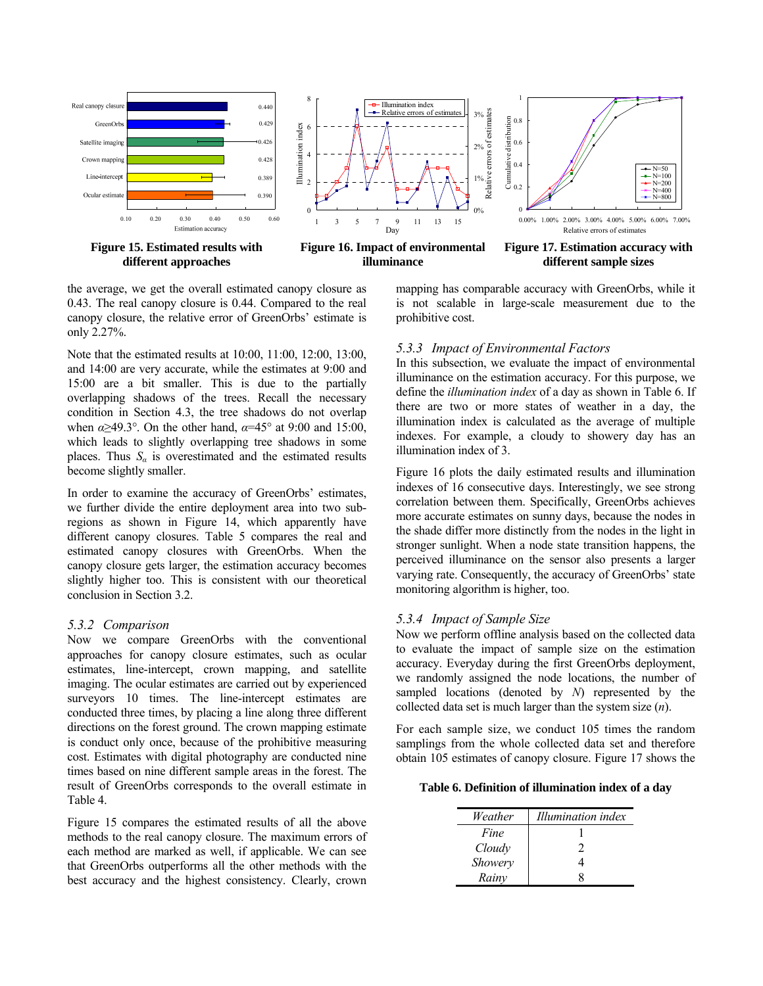

the average, we get the overall estimated canopy closure as 0.43. The real canopy closure is 0.44. Compared to the real canopy closure, the relative error of GreenOrbs' estimate is only 2.27%.

Note that the estimated results at 10:00, 11:00, 12:00, 13:00, and 14:00 are very accurate, while the estimates at 9:00 and 15:00 are a bit smaller. This is due to the partially overlapping shadows of the trees. Recall the necessary condition in Section 4.3, the tree shadows do not overlap when  $\alpha$  >49.3°. On the other hand,  $\alpha$ =45° at 9:00 and 15:00, which leads to slightly overlapping tree shadows in some places. Thus  $S_\alpha$  is overestimated and the estimated results become slightly smaller.

In order to examine the accuracy of GreenOrbs' estimates, we further divide the entire deployment area into two subregions as shown in Figure 14, which apparently have different canopy closures. Table 5 compares the real and estimated canopy closures with GreenOrbs. When the canopy closure gets larger, the estimation accuracy becomes slightly higher too. This is consistent with our theoretical conclusion in Section 3.2.

#### *5.3.2 Comparison*

Now we compare GreenOrbs with the conventional approaches for canopy closure estimates, such as ocular estimates, line-intercept, crown mapping, and satellite imaging. The ocular estimates are carried out by experienced surveyors 10 times. The line-intercept estimates are conducted three times, by placing a line along three different directions on the forest ground. The crown mapping estimate is conduct only once, because of the prohibitive measuring cost. Estimates with digital photography are conducted nine times based on nine different sample areas in the forest. The result of GreenOrbs corresponds to the overall estimate in Table 4.

Figure 15 compares the estimated results of all the above methods to the real canopy closure. The maximum errors of each method are marked as well, if applicable. We can see that GreenOrbs outperforms all the other methods with the best accuracy and the highest consistency. Clearly, crown

mapping has comparable accuracy with GreenOrbs, while it is not scalable in large-scale measurement due to the prohibitive cost.

# *5.3.3 Impact of Environmental Factors*

In this subsection, we evaluate the impact of environmental illuminance on the estimation accuracy. For this purpose, we define the *illumination index* of a day as shown in Table 6. If there are two or more states of weather in a day, the illumination index is calculated as the average of multiple indexes. For example, a cloudy to showery day has an illumination index of 3.

Figure 16 plots the daily estimated results and illumination indexes of 16 consecutive days. Interestingly, we see strong correlation between them. Specifically, GreenOrbs achieves more accurate estimates on sunny days, because the nodes in the shade differ more distinctly from the nodes in the light in stronger sunlight. When a node state transition happens, the perceived illuminance on the sensor also presents a larger varying rate. Consequently, the accuracy of GreenOrbs' state monitoring algorithm is higher, too.

## *5.3.4 Impact of Sample Size*

Now we perform offline analysis based on the collected data to evaluate the impact of sample size on the estimation accuracy. Everyday during the first GreenOrbs deployment, we randomly assigned the node locations, the number of sampled locations (denoted by *N*) represented by the collected data set is much larger than the system size (*n*).

For each sample size, we conduct 105 times the random samplings from the whole collected data set and therefore obtain 105 estimates of canopy closure. Figure 17 shows the

**Table 6. Definition of illumination index of a day** 

| Weather | Illumination index |
|---------|--------------------|
| Fine    |                    |
| Cloudy  | 2                  |
| Showery |                    |
| Rainv   |                    |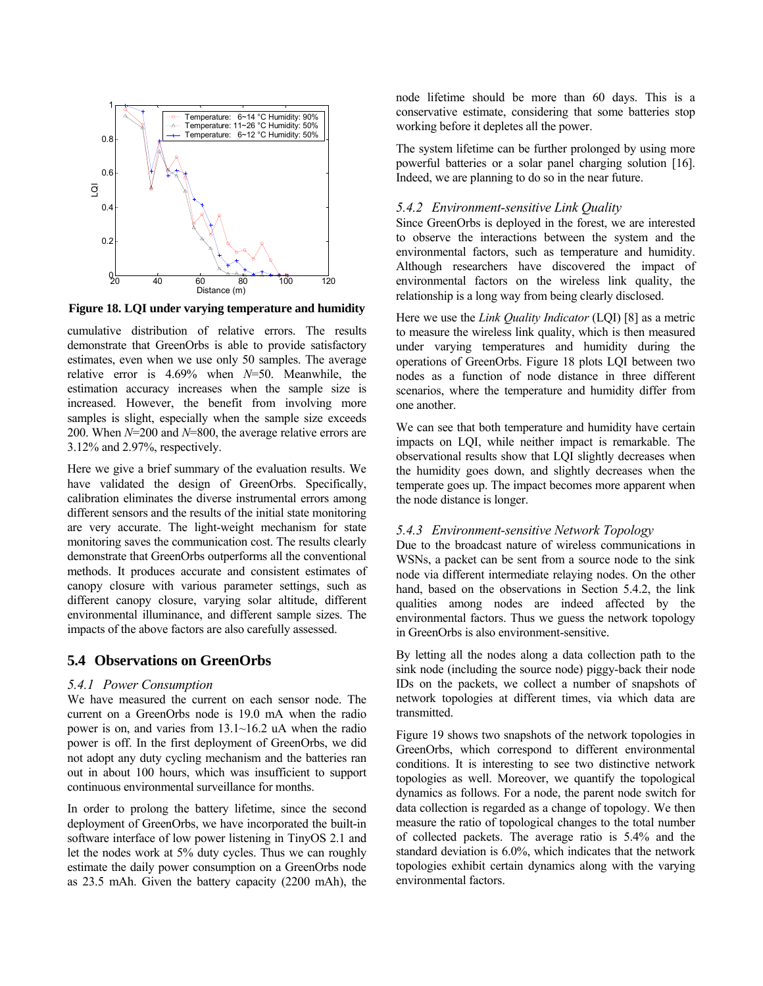

**Figure 18. LQI under varying temperature and humidity** 

cumulative distribution of relative errors. The results demonstrate that GreenOrbs is able to provide satisfactory estimates, even when we use only 50 samples. The average relative error is 4.69% when *N*=50. Meanwhile, the estimation accuracy increases when the sample size is increased. However, the benefit from involving more samples is slight, especially when the sample size exceeds 200. When *N*=200 and *N*=800, the average relative errors are 3.12% and 2.97%, respectively.

Here we give a brief summary of the evaluation results. We have validated the design of GreenOrbs. Specifically, calibration eliminates the diverse instrumental errors among different sensors and the results of the initial state monitoring are very accurate. The light-weight mechanism for state monitoring saves the communication cost. The results clearly demonstrate that GreenOrbs outperforms all the conventional methods. It produces accurate and consistent estimates of canopy closure with various parameter settings, such as different canopy closure, varying solar altitude, different environmental illuminance, and different sample sizes. The impacts of the above factors are also carefully assessed.

## **5.4 Observations on GreenOrbs**

## *5.4.1 Power Consumption*

We have measured the current on each sensor node. The current on a GreenOrbs node is 19.0 mA when the radio power is on, and varies from 13.1~16.2 uA when the radio power is off. In the first deployment of GreenOrbs, we did not adopt any duty cycling mechanism and the batteries ran out in about 100 hours, which was insufficient to support continuous environmental surveillance for months.

In order to prolong the battery lifetime, since the second deployment of GreenOrbs, we have incorporated the built-in software interface of low power listening in TinyOS 2.1 and let the nodes work at 5% duty cycles. Thus we can roughly estimate the daily power consumption on a GreenOrbs node as 23.5 mAh. Given the battery capacity (2200 mAh), the node lifetime should be more than 60 days. This is a conservative estimate, considering that some batteries stop working before it depletes all the power.

The system lifetime can be further prolonged by using more powerful batteries or a solar panel charging solution [16]. Indeed, we are planning to do so in the near future.

# *5.4.2 Environment-sensitive Link Quality*

Since GreenOrbs is deployed in the forest, we are interested to observe the interactions between the system and the environmental factors, such as temperature and humidity. Although researchers have discovered the impact of environmental factors on the wireless link quality, the relationship is a long way from being clearly disclosed.

Here we use the *Link Quality Indicator* (LQI) [8] as a metric to measure the wireless link quality, which is then measured under varying temperatures and humidity during the operations of GreenOrbs. Figure 18 plots LQI between two nodes as a function of node distance in three different scenarios, where the temperature and humidity differ from one another.

We can see that both temperature and humidity have certain impacts on LQI, while neither impact is remarkable. The observational results show that LQI slightly decreases when the humidity goes down, and slightly decreases when the temperate goes up. The impact becomes more apparent when the node distance is longer.

## *5.4.3 Environment-sensitive Network Topology*

Due to the broadcast nature of wireless communications in WSNs, a packet can be sent from a source node to the sink node via different intermediate relaying nodes. On the other hand, based on the observations in Section 5.4.2, the link qualities among nodes are indeed affected by the environmental factors. Thus we guess the network topology in GreenOrbs is also environment-sensitive.

By letting all the nodes along a data collection path to the sink node (including the source node) piggy-back their node IDs on the packets, we collect a number of snapshots of network topologies at different times, via which data are transmitted.

Figure 19 shows two snapshots of the network topologies in GreenOrbs, which correspond to different environmental conditions. It is interesting to see two distinctive network topologies as well. Moreover, we quantify the topological dynamics as follows. For a node, the parent node switch for data collection is regarded as a change of topology. We then measure the ratio of topological changes to the total number of collected packets. The average ratio is 5.4% and the standard deviation is 6.0%, which indicates that the network topologies exhibit certain dynamics along with the varying environmental factors.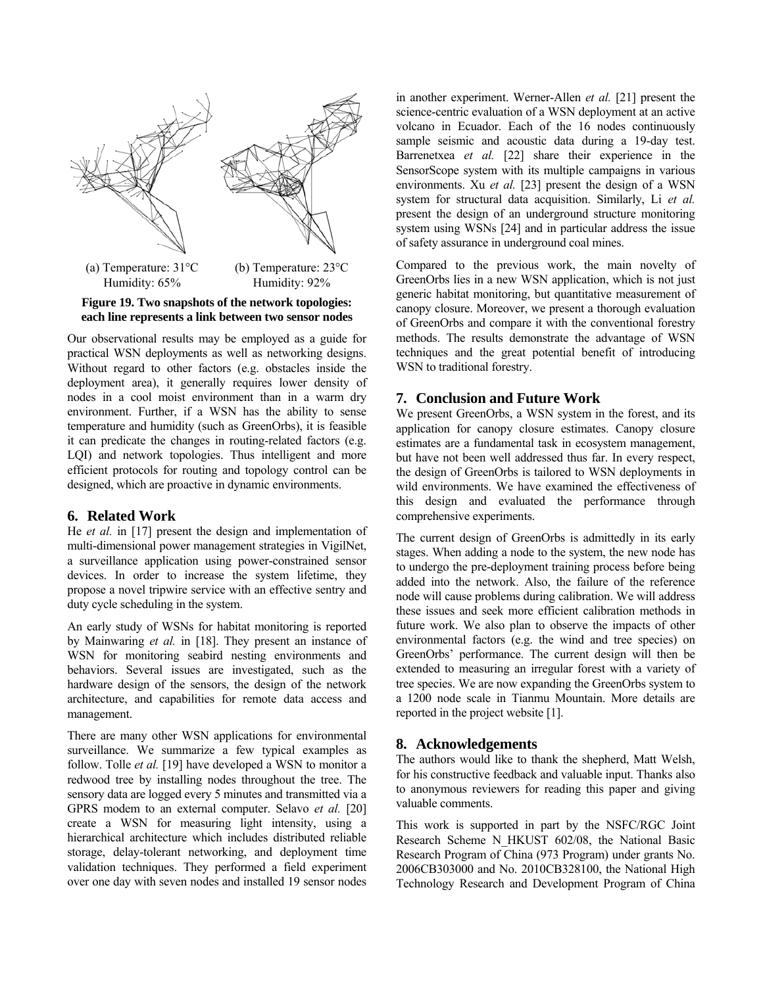



Our observational results may be employed as a guide for practical WSN deployments as well as networking designs. Without regard to other factors (e.g. obstacles inside the deployment area), it generally requires lower density of nodes in a cool moist environment than in a warm dry environment. Further, if a WSN has the ability to sense temperature and humidity (such as GreenOrbs), it is feasible it can predicate the changes in routing-related factors (e.g. LQI) and network topologies. Thus intelligent and more efficient protocols for routing and topology control can be designed, which are proactive in dynamic environments.

## **6. Related Work**

He *et al.* in [17] present the design and implementation of multi-dimensional power management strategies in VigilNet, a surveillance application using power-constrained sensor devices. In order to increase the system lifetime, they propose a novel tripwire service with an effective sentry and duty cycle scheduling in the system.

An early study of WSNs for habitat monitoring is reported by Mainwaring *et al.* in [18]. They present an instance of WSN for monitoring seabird nesting environments and behaviors. Several issues are investigated, such as the hardware design of the sensors, the design of the network architecture, and capabilities for remote data access and management.

There are many other WSN applications for environmental surveillance. We summarize a few typical examples as follow. Tolle *et al.* [19] have developed a WSN to monitor a redwood tree by installing nodes throughout the tree. The sensory data are logged every 5 minutes and transmitted via a GPRS modem to an external computer. Selavo *et al.* [20] create a WSN for measuring light intensity, using a hierarchical architecture which includes distributed reliable storage, delay-tolerant networking, and deployment time validation techniques. They performed a field experiment over one day with seven nodes and installed 19 sensor nodes

in another experiment. Werner-Allen *et al.* [21] present the science-centric evaluation of a WSN deployment at an active volcano in Ecuador. Each of the 16 nodes continuously sample seismic and acoustic data during a 19-day test. Barrenetxea *et al.* [22] share their experience in the SensorScope system with its multiple campaigns in various environments. Xu *et al.* [23] present the design of a WSN system for structural data acquisition. Similarly, Li *et al.*  present the design of an underground structure monitoring system using WSNs [24] and in particular address the issue of safety assurance in underground coal mines.

Compared to the previous work, the main novelty of GreenOrbs lies in a new WSN application, which is not just generic habitat monitoring, but quantitative measurement of canopy closure. Moreover, we present a thorough evaluation of GreenOrbs and compare it with the conventional forestry methods. The results demonstrate the advantage of WSN techniques and the great potential benefit of introducing WSN to traditional forestry.

# **7. Conclusion and Future Work**

We present GreenOrbs, a WSN system in the forest, and its application for canopy closure estimates. Canopy closure estimates are a fundamental task in ecosystem management, but have not been well addressed thus far. In every respect, the design of GreenOrbs is tailored to WSN deployments in wild environments. We have examined the effectiveness of this design and evaluated the performance through comprehensive experiments.

The current design of GreenOrbs is admittedly in its early stages. When adding a node to the system, the new node has to undergo the pre-deployment training process before being added into the network. Also, the failure of the reference node will cause problems during calibration. We will address these issues and seek more efficient calibration methods in future work. We also plan to observe the impacts of other environmental factors (e.g. the wind and tree species) on GreenOrbs' performance. The current design will then be extended to measuring an irregular forest with a variety of tree species. We are now expanding the GreenOrbs system to a 1200 node scale in Tianmu Mountain. More details are reported in the project website [1].

## **8. Acknowledgements**

The authors would like to thank the shepherd, Matt Welsh, for his constructive feedback and valuable input. Thanks also to anonymous reviewers for reading this paper and giving valuable comments.

This work is supported in part by the NSFC/RGC Joint Research Scheme N HKUST 602/08, the National Basic Research Program of China (973 Program) under grants No. 2006CB303000 and No. 2010CB328100, the National High Technology Research and Development Program of China